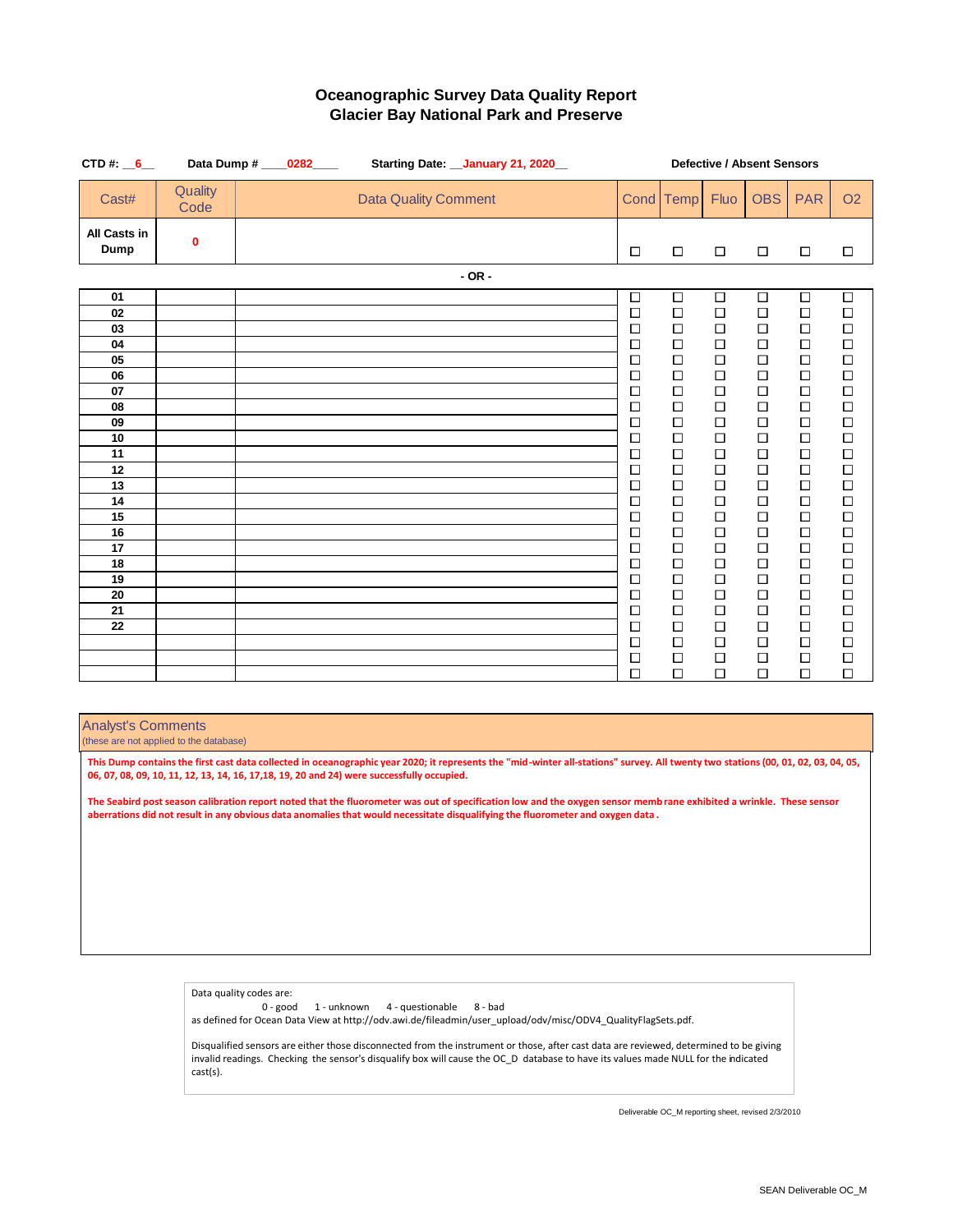| CTD#: $6$            |                 | Data Dump # _____0282____ |  |                             |            | Starting Date: __ January 21, 2020_ |  |                  |                  |                  | <b>Defective / Absent Sensors</b> |                  |                  |
|----------------------|-----------------|---------------------------|--|-----------------------------|------------|-------------------------------------|--|------------------|------------------|------------------|-----------------------------------|------------------|------------------|
| Cast#                | Quality<br>Code |                           |  | <b>Data Quality Comment</b> |            |                                     |  |                  | Cond Temp        | Fluo             | <b>OBS</b>                        | <b>PAR</b>       | <b>O2</b>        |
| All Casts in<br>Dump | 0               |                           |  |                             |            |                                     |  | $\Box$           | $\Box$           | $\Box$           | $\Box$                            | $\Box$           | $\Box$           |
|                      |                 |                           |  |                             | $-$ OR $-$ |                                     |  |                  |                  |                  |                                   |                  |                  |
| 01                   |                 |                           |  |                             |            |                                     |  | $\Box$           | $\Box$           | $\Box$           | $\Box$                            | $\Box$           | $\Box$           |
| 02<br>03             |                 |                           |  |                             |            |                                     |  | $\Box$           | $\Box$           | $\Box$           | $\Box$                            | $\Box$           | $\Box$           |
| 04                   |                 |                           |  |                             |            |                                     |  | $\Box$<br>$\Box$ | $\Box$<br>$\Box$ | $\Box$<br>$\Box$ | $\Box$<br>$\Box$                  | $\Box$<br>$\Box$ | $\Box$<br>$\Box$ |
| 05                   |                 |                           |  |                             |            |                                     |  | $\Box$           | $\Box$           | $\Box$           | $\Box$                            | $\Box$           | $\Box$           |
| 06                   |                 |                           |  |                             |            |                                     |  | □                | $\Box$           | $\Box$           | $\Box$                            | $\Box$           | $\Box$           |
| 07                   |                 |                           |  |                             |            |                                     |  | $\Box$           | $\Box$           | $\Box$           | $\Box$                            | $\Box$           | $\Box$           |
| 08                   |                 |                           |  |                             |            |                                     |  | $\Box$           | $\Box$           | $\Box$           | □                                 | $\Box$           | $\Box$           |
| 09<br>10             |                 |                           |  |                             |            |                                     |  | $\Box$<br>$\Box$ | $\Box$<br>$\Box$ | $\Box$<br>$\Box$ | $\Box$<br>$\Box$                  | $\Box$<br>$\Box$ | $\Box$<br>$\Box$ |
| 11                   |                 |                           |  |                             |            |                                     |  | $\Box$           | $\Box$           | $\Box$           | $\Box$                            | $\Box$           | $\Box$           |
| 12                   |                 |                           |  |                             |            |                                     |  | □                | $\Box$           | $\Box$           | $\Box$                            | $\Box$           | $\Box$           |
| 13                   |                 |                           |  |                             |            |                                     |  | $\Box$           | $\Box$           | $\Box$           | □                                 | $\Box$           | $\Box$           |
| 14                   |                 |                           |  |                             |            |                                     |  | $\Box$           | $\Box$           | $\Box$           | $\Box$                            | $\Box$           | $\Box$           |
| 15                   |                 |                           |  |                             |            |                                     |  | $\Box$           | $\Box$           | $\Box$           | $\Box$                            | $\Box$           | □                |
| 16<br>17             |                 |                           |  |                             |            |                                     |  | $\Box$<br>$\Box$ | $\Box$<br>$\Box$ | $\Box$<br>$\Box$ | □<br>$\Box$                       | $\Box$<br>$\Box$ | $\Box$<br>$\Box$ |
| 18                   |                 |                           |  |                             |            |                                     |  | $\Box$           | $\Box$           | $\Box$           | $\Box$                            | $\Box$           | $\Box$           |
| 19                   |                 |                           |  |                             |            |                                     |  | $\Box$           | $\Box$           | $\Box$           | $\Box$                            | $\Box$           | $\Box$           |
| 20                   |                 |                           |  |                             |            |                                     |  | □                | $\Box$           | $\Box$           | $\Box$                            | $\Box$           | $\Box$           |
| 21                   |                 |                           |  |                             |            |                                     |  | □                | □                | □                | □                                 | □                | □                |
| 22                   |                 |                           |  |                             |            |                                     |  | $\Box$           | $\Box$           | $\Box$           | $\Box$                            | $\Box$           | $\Box$           |
|                      |                 |                           |  |                             |            |                                     |  | $\Box$<br>$\Box$ | $\Box$<br>$\Box$ | $\Box$<br>$\Box$ | $\Box$<br>□                       | $\Box$<br>$\Box$ | $\Box$<br>□      |
|                      |                 |                           |  |                             |            |                                     |  | $\Box$           | $\Box$           | $\Box$           | □                                 | $\Box$           | $\Box$           |
|                      |                 |                           |  |                             |            |                                     |  |                  |                  |                  |                                   |                  |                  |

Analyst's Comments

(these are not applied to the database)

**This Dump contains the first cast data collected in oceanographic year 2020; it represents the "mid-winter all-stations" survey. All twenty two stations (00, 01, 02, 03, 04, 05, 06, 07, 08, 09, 10, 11, 12, 13, 14, 16, 17,18, 19, 20 and 24) were successfully occupied.**

**The Seabird post season calibration report noted that the fluorometer was out of specification low and the oxygen sensor memb rane exhibited a wrinkle. These sensor aberrations did not result in any obvious data anomalies that would necessitate disqualifying the fluorometer and oxygen data .** 

> Data quality codes are: 0 - good 1 - unknown 4 - questionable 8 - bad as defined for Ocean Data View at http://odv.awi.de/fileadmin/user\_upload/odv/misc/ODV4\_QualityFlagSets.pdf. Disqualified sensors are either those disconnected from the instrument or those, after cast data are reviewed, determined to be giving

> invalid readings. Checking the sensor's disqualify box will cause the OC\_D database to have its values made NULL for the indicated cast(s).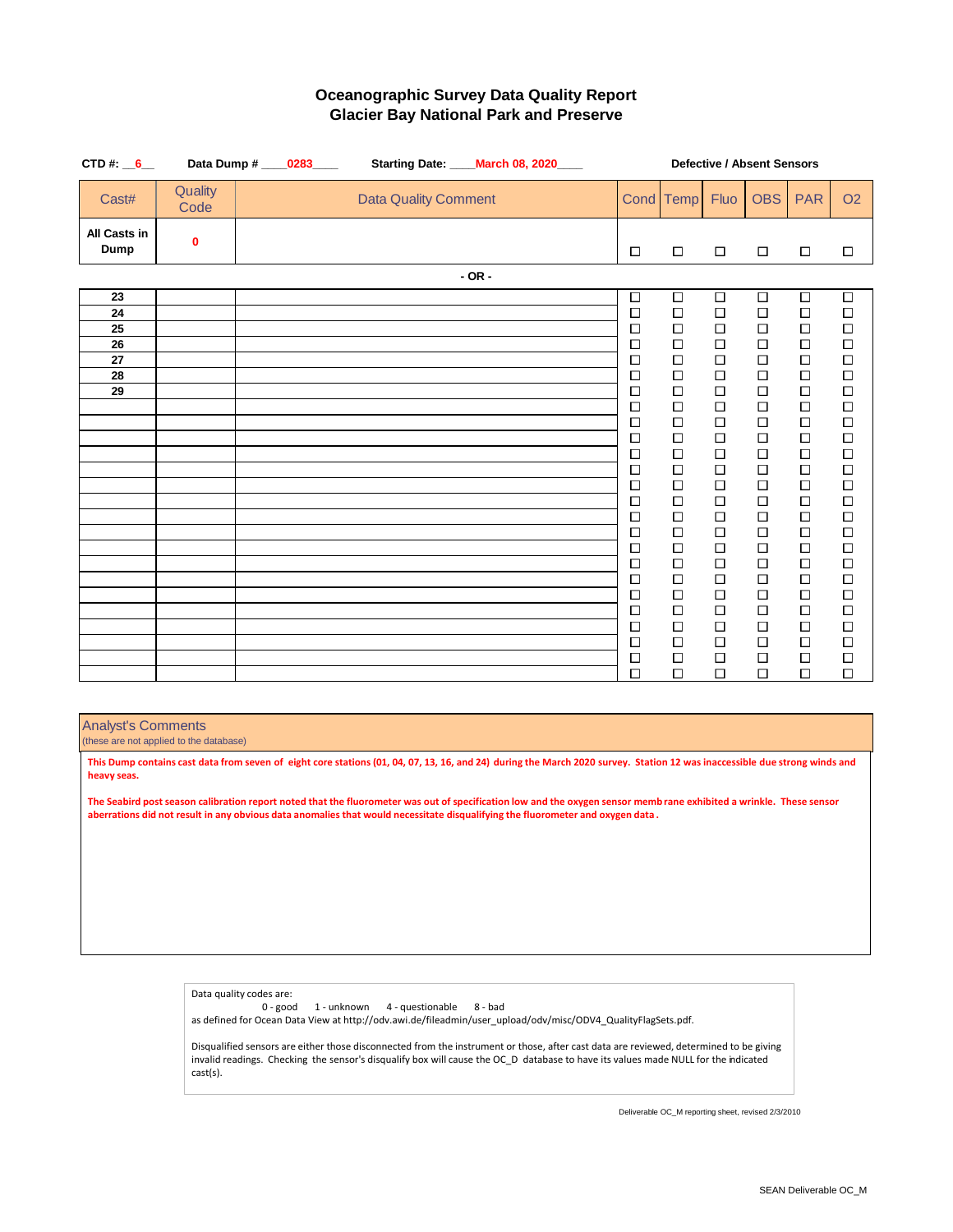| CTD#: $6$                              |                 | Data Dump # ____0283____ | Starting Date: ____ March 08, 2020____ |            |  |                                                                                                                                               |                                                                                                                                                    |                                                                                                                                                    | Defective / Absent Sensors                                                                                                                         |                                                                                                                                                    |                                                                                                                                                    |
|----------------------------------------|-----------------|--------------------------|----------------------------------------|------------|--|-----------------------------------------------------------------------------------------------------------------------------------------------|----------------------------------------------------------------------------------------------------------------------------------------------------|----------------------------------------------------------------------------------------------------------------------------------------------------|----------------------------------------------------------------------------------------------------------------------------------------------------|----------------------------------------------------------------------------------------------------------------------------------------------------|----------------------------------------------------------------------------------------------------------------------------------------------------|
| Cast#                                  | Quality<br>Code |                          | <b>Data Quality Comment</b>            |            |  |                                                                                                                                               | Cond Temp                                                                                                                                          | Fluo                                                                                                                                               | <b>OBS</b>                                                                                                                                         | <b>PAR</b>                                                                                                                                         | <b>O2</b>                                                                                                                                          |
| All Casts in<br>Dump                   | 0               |                          |                                        |            |  | □                                                                                                                                             | $\Box$                                                                                                                                             | $\Box$                                                                                                                                             | $\Box$                                                                                                                                             | $\Box$                                                                                                                                             | $\Box$                                                                                                                                             |
|                                        |                 |                          |                                        | $-$ OR $-$ |  |                                                                                                                                               |                                                                                                                                                    |                                                                                                                                                    |                                                                                                                                                    |                                                                                                                                                    |                                                                                                                                                    |
| 23<br>24<br>25<br>26<br>27<br>28<br>29 |                 |                          |                                        |            |  | $\Box$<br>$\Box$<br>$\Box$<br>$\Box$<br>$\Box$<br>□<br>$\Box$<br>$\Box$<br>$\Box$<br>$\Box$<br>$\Box$<br>$\Box$<br>$\Box$<br>$\Box$<br>$\Box$ | $\Box$<br>$\Box$<br>$\Box$<br>$\Box$<br>$\Box$<br>$\Box$<br>$\Box$<br>$\Box$<br>$\Box$<br>$\Box$<br>$\Box$<br>$\Box$<br>$\Box$<br>$\Box$<br>$\Box$ | $\Box$<br>$\Box$<br>$\Box$<br>$\Box$<br>$\Box$<br>$\Box$<br>$\Box$<br>$\Box$<br>$\Box$<br>$\Box$<br>$\Box$<br>$\Box$<br>$\Box$<br>$\Box$<br>$\Box$ | $\Box$<br>$\Box$<br>$\Box$<br>$\Box$<br>$\Box$<br>$\Box$<br>$\Box$<br>$\Box$<br>$\Box$<br>$\Box$<br>$\Box$<br>$\Box$<br>$\Box$<br>$\Box$<br>$\Box$ | $\Box$<br>$\Box$<br>$\Box$<br>$\Box$<br>$\Box$<br>$\Box$<br>$\Box$<br>$\Box$<br>$\Box$<br>$\Box$<br>$\Box$<br>$\Box$<br>$\Box$<br>$\Box$<br>$\Box$ | $\Box$<br>$\Box$<br>$\Box$<br>$\Box$<br>$\Box$<br>$\Box$<br>$\Box$<br>$\Box$<br>$\Box$<br>$\Box$<br>$\Box$<br>$\Box$<br>$\Box$<br>$\Box$<br>$\Box$ |
|                                        |                 |                          |                                        |            |  | $\Box$<br>□<br>$\Box$<br>$\Box$<br>$\Box$                                                                                                     | $\Box$<br>$\Box$<br>$\Box$<br>$\Box$<br>$\Box$                                                                                                     | $\Box$<br>$\Box$<br>□<br>$\Box$<br>$\Box$                                                                                                          | $\Box$<br>$\Box$<br>$\Box$<br>$\Box$<br>$\Box$                                                                                                     | $\Box$<br>$\Box$<br>$\Box$<br>$\Box$<br>$\Box$                                                                                                     | $\Box$<br>$\Box$<br>$\Box$<br>$\Box$<br>$\Box$                                                                                                     |
|                                        |                 |                          |                                        |            |  | $\Box$<br>$\Box$<br>$\Box$<br>$\Box$<br>$\Box$                                                                                                | $\Box$<br>$\Box$<br>$\Box$<br>$\Box$<br>$\Box$                                                                                                     | $\Box$<br>$\Box$<br>$\Box$<br>$\Box$<br>$\Box$                                                                                                     | $\Box$<br>$\Box$<br>$\Box$<br>$\Box$<br>$\Box$                                                                                                     | $\Box$<br>$\Box$<br>$\Box$<br>$\Box$<br>$\Box$                                                                                                     | $\Box$<br>$\Box$<br>$\Box$<br>$\Box$<br>$\Box$                                                                                                     |

Analyst's Comments

(these are not applied to the database)

**This Dump contains cast data from seven of eight core stations (01, 04, 07, 13, 16, and 24) during the March 2020 survey. Station 12 was inaccessible due strong winds and heavy seas.**

**The Seabird post season calibration report noted that the fluorometer was out of specification low and the oxygen sensor memb rane exhibited a wrinkle. These sensor aberrations did not result in any obvious data anomalies that would necessitate disqualifying the fluorometer and oxygen data .** 

Data quality codes are:

0 - good 1 - unknown 4 - questionable 8 - bad as defined for Ocean Data View at http://odv.awi.de/fileadmin/user\_upload/odv/misc/ODV4\_QualityFlagSets.pdf.

Disqualified sensors are either those disconnected from the instrument or those, after cast data are reviewed, determined to be giving invalid readings. Checking the sensor's disqualify box will cause the OC\_D database to have its values made NULL for the indicated cast(s).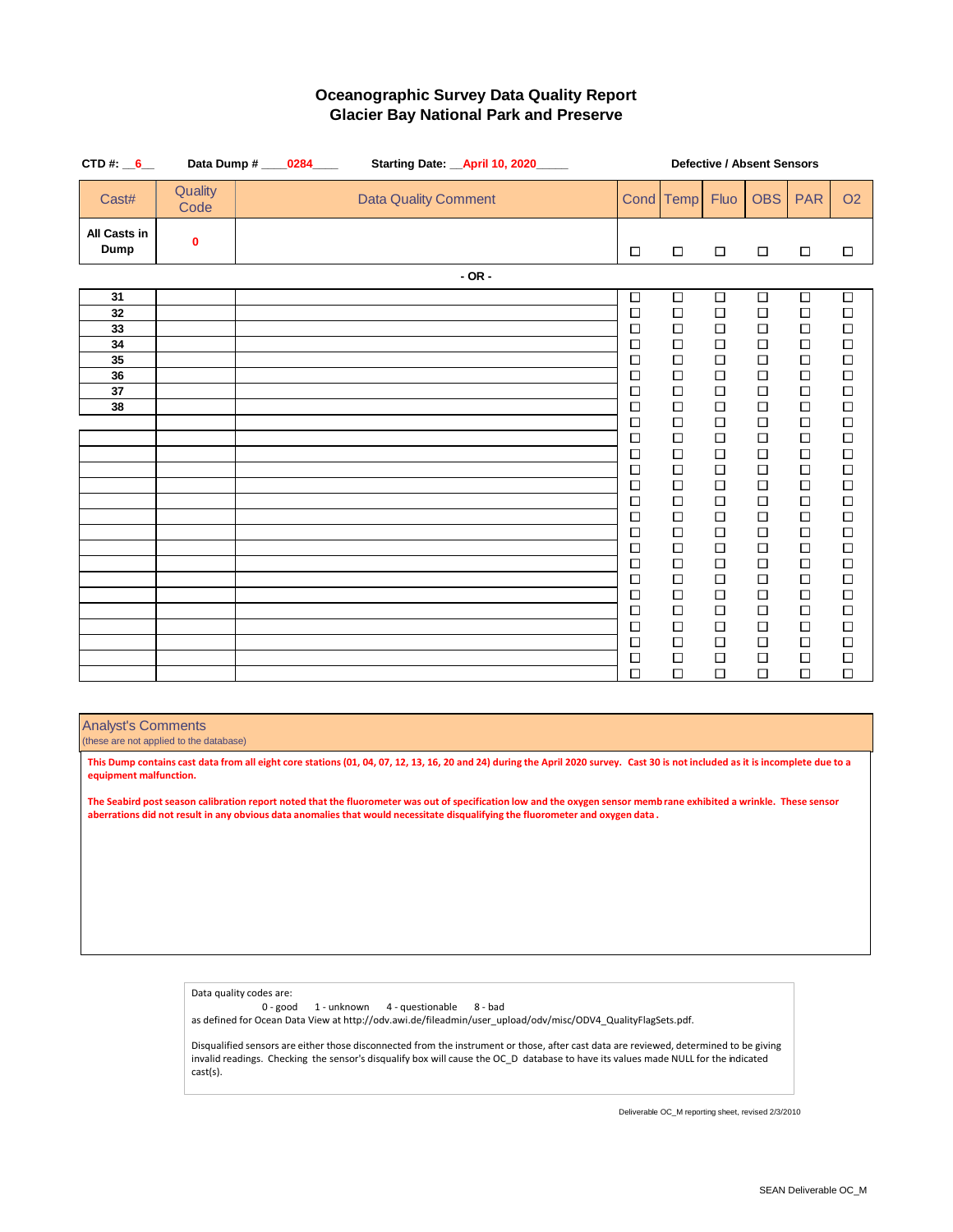| CTD#: $6$                                    |                 | Data Dump # ____0284____ | Starting Date: _April 10, 2020____ |            |                                                                                                                                                                                            |                                                                                                                                                                                                 |                                                                                                                                                                                                      | <b>Defective / Absent Sensors</b>                                                                                                                                                                    |                                                                                                                                                                                                 |                                                                                                                                                                                                      |
|----------------------------------------------|-----------------|--------------------------|------------------------------------|------------|--------------------------------------------------------------------------------------------------------------------------------------------------------------------------------------------|-------------------------------------------------------------------------------------------------------------------------------------------------------------------------------------------------|------------------------------------------------------------------------------------------------------------------------------------------------------------------------------------------------------|------------------------------------------------------------------------------------------------------------------------------------------------------------------------------------------------------|-------------------------------------------------------------------------------------------------------------------------------------------------------------------------------------------------|------------------------------------------------------------------------------------------------------------------------------------------------------------------------------------------------------|
| Cast#                                        | Quality<br>Code |                          | <b>Data Quality Comment</b>        |            |                                                                                                                                                                                            | Cond Temp                                                                                                                                                                                       | Fluo                                                                                                                                                                                                 | <b>OBS</b>                                                                                                                                                                                           | <b>PAR</b>                                                                                                                                                                                      | <b>O2</b>                                                                                                                                                                                            |
| All Casts in<br>Dump                         | 0               |                          |                                    |            | $\Box$                                                                                                                                                                                     | $\Box$                                                                                                                                                                                          | $\Box$                                                                                                                                                                                               | $\Box$                                                                                                                                                                                               | $\Box$                                                                                                                                                                                          | $\Box$                                                                                                                                                                                               |
|                                              |                 |                          |                                    | $-$ OR $-$ |                                                                                                                                                                                            |                                                                                                                                                                                                 |                                                                                                                                                                                                      |                                                                                                                                                                                                      |                                                                                                                                                                                                 |                                                                                                                                                                                                      |
| 31<br>32<br>33<br>34<br>35<br>36<br>37<br>38 |                 |                          |                                    |            | $\Box$<br>$\Box$<br>$\Box$<br>$\Box$<br>$\Box$<br>□<br>$\Box$<br>$\Box$<br>$\Box$<br>$\Box$<br>$\Box$<br>□<br>$\Box$<br>$\Box$<br>$\Box$<br>$\Box$<br>$\Box$<br>$\Box$<br>$\Box$<br>$\Box$ | $\Box$<br>□<br>$\Box$<br>$\Box$<br>$\Box$<br>$\Box$<br>$\Box$<br>$\Box$<br>$\Box$<br>$\Box$<br>$\Box$<br>$\Box$<br>$\Box$<br>$\Box$<br>$\Box$<br>$\Box$<br>$\Box$<br>$\Box$<br>$\Box$<br>$\Box$ | $\Box$<br>$\Box$<br>$\Box$<br>$\Box$<br>$\Box$<br>$\Box$<br>$\Box$<br>$\Box$<br>$\Box$<br>$\Box$<br>$\Box$<br>$\Box$<br>$\Box$<br>$\Box$<br>$\Box$<br>$\Box$<br>$\Box$<br>$\Box$<br>$\Box$<br>$\Box$ | $\Box$<br>$\Box$<br>$\Box$<br>$\Box$<br>$\Box$<br>$\Box$<br>$\Box$<br>$\Box$<br>$\Box$<br>$\Box$<br>$\Box$<br>$\Box$<br>$\Box$<br>$\Box$<br>$\Box$<br>$\Box$<br>$\Box$<br>$\Box$<br>$\Box$<br>$\Box$ | $\Box$<br>$\Box$<br>$\Box$<br>$\Box$<br>$\Box$<br>$\Box$<br>$\Box$<br>$\Box$<br>$\Box$<br>$\Box$<br>$\Box$<br>□<br>$\Box$<br>$\Box$<br>$\Box$<br>$\Box$<br>$\Box$<br>$\Box$<br>$\Box$<br>$\Box$ | $\Box$<br>$\Box$<br>$\Box$<br>$\Box$<br>$\Box$<br>$\Box$<br>$\Box$<br>$\Box$<br>$\Box$<br>$\Box$<br>$\Box$<br>$\Box$<br>$\Box$<br>$\Box$<br>$\Box$<br>$\Box$<br>$\Box$<br>$\Box$<br>$\Box$<br>$\Box$ |
|                                              |                 |                          |                                    |            | $\Box$<br>$\Box$                                                                                                                                                                           | $\Box$<br>$\Box$                                                                                                                                                                                | $\Box$<br>$\Box$                                                                                                                                                                                     | $\Box$<br>$\Box$                                                                                                                                                                                     | $\Box$<br>$\Box$                                                                                                                                                                                | $\Box$<br>$\Box$                                                                                                                                                                                     |
|                                              |                 |                          |                                    |            | $\Box$<br>$\Box$<br>$\Box$                                                                                                                                                                 | $\Box$<br>$\Box$<br>$\Box$                                                                                                                                                                      | $\Box$<br>$\Box$<br>$\Box$                                                                                                                                                                           | $\Box$<br>$\Box$<br>$\Box$                                                                                                                                                                           | $\Box$<br>$\Box$<br>$\Box$                                                                                                                                                                      | $\Box$<br>$\Box$<br>$\Box$                                                                                                                                                                           |
|                                              |                 |                          |                                    |            |                                                                                                                                                                                            |                                                                                                                                                                                                 |                                                                                                                                                                                                      |                                                                                                                                                                                                      |                                                                                                                                                                                                 |                                                                                                                                                                                                      |

Analyst's Comments

(these are not applied to the database)

cast(s).

**This Dump contains cast data from all eight core stations (01, 04, 07, 12, 13, 16, 20 and 24) during the April 2020 survey. Cast 30 is not included as it is incomplete due to a equipment malfunction.**

**The Seabird post season calibration report noted that the fluorometer was out of specification low and the oxygen sensor memb rane exhibited a wrinkle. These sensor aberrations did not result in any obvious data anomalies that would necessitate disqualifying the fluorometer and oxygen data .** 

> Data quality codes are: 0 - good 1 - unknown 4 - questionable 8 - bad as defined for Ocean Data View at http://odv.awi.de/fileadmin/user\_upload/odv/misc/ODV4\_QualityFlagSets.pdf. Disqualified sensors are either those disconnected from the instrument or those, after cast data are reviewed, determined to be giving invalid readings. Checking the sensor's disqualify box will cause the OC\_D database to have its values made NULL for the indicated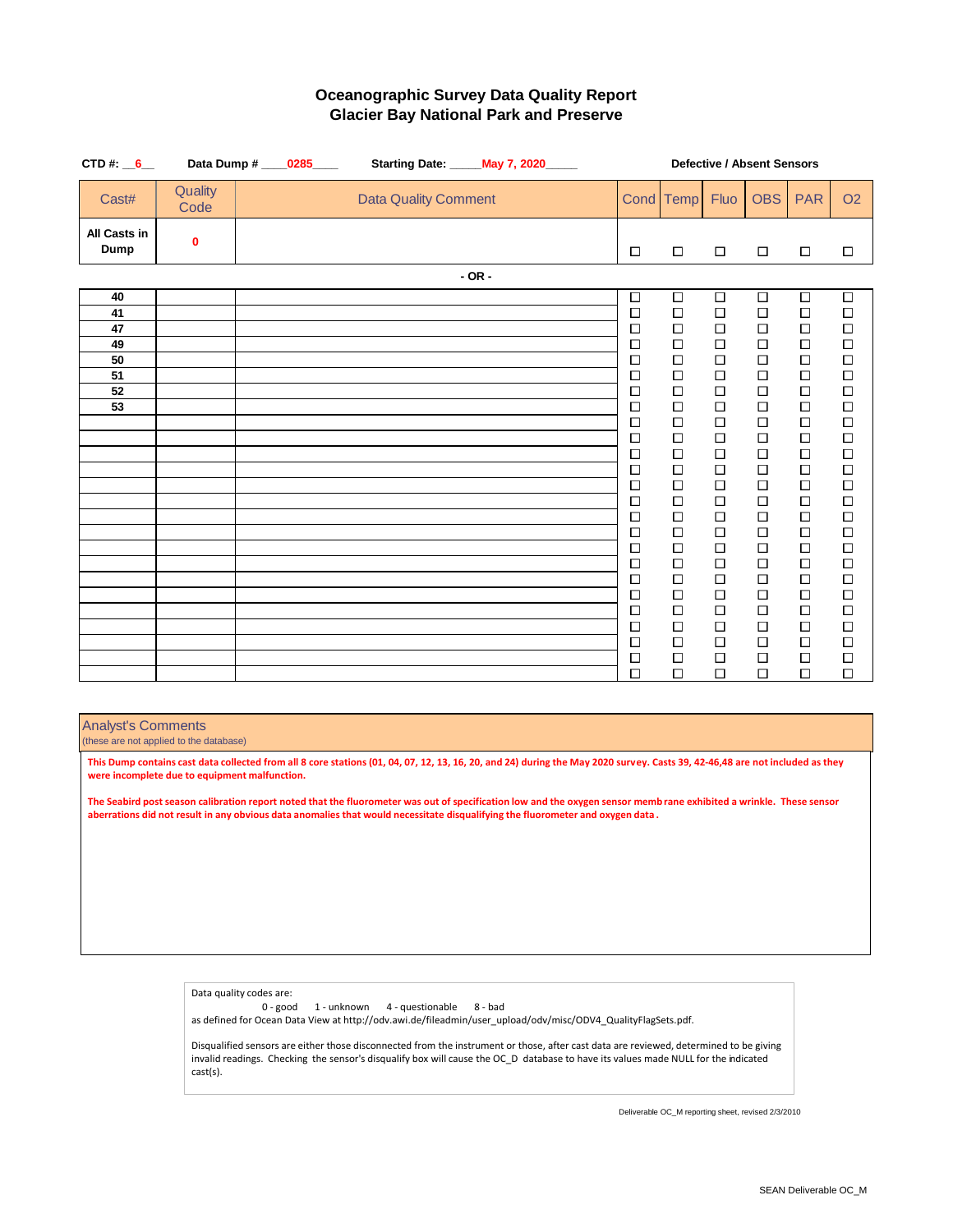| CTD#: $6$                                    |                 | Data Dump # ____0285____ | Starting Date: _____ May 7, 2020_____ |            |  |                                                                                                                                                                                                                               |                                                                                                                                                                                                                                                  |                                                                                                                                                                                                                               | Defective / Absent Sensors                                                                                                                                                                                                         |                                                                                                                                                                                                                                    |                                                                                                                                                                                                                                    |
|----------------------------------------------|-----------------|--------------------------|---------------------------------------|------------|--|-------------------------------------------------------------------------------------------------------------------------------------------------------------------------------------------------------------------------------|--------------------------------------------------------------------------------------------------------------------------------------------------------------------------------------------------------------------------------------------------|-------------------------------------------------------------------------------------------------------------------------------------------------------------------------------------------------------------------------------|------------------------------------------------------------------------------------------------------------------------------------------------------------------------------------------------------------------------------------|------------------------------------------------------------------------------------------------------------------------------------------------------------------------------------------------------------------------------------|------------------------------------------------------------------------------------------------------------------------------------------------------------------------------------------------------------------------------------|
| Cast#                                        | Quality<br>Code |                          | <b>Data Quality Comment</b>           |            |  |                                                                                                                                                                                                                               | Cond Temp                                                                                                                                                                                                                                        | Fluo                                                                                                                                                                                                                          | <b>OBS</b>                                                                                                                                                                                                                         | <b>PAR</b>                                                                                                                                                                                                                         | <b>O2</b>                                                                                                                                                                                                                          |
| All Casts in<br><b>Dump</b>                  | 0               |                          |                                       |            |  | □                                                                                                                                                                                                                             | $\Box$                                                                                                                                                                                                                                           | $\Box$                                                                                                                                                                                                                        | $\Box$                                                                                                                                                                                                                             | $\Box$                                                                                                                                                                                                                             | $\Box$                                                                                                                                                                                                                             |
|                                              |                 |                          |                                       | $-$ OR $-$ |  |                                                                                                                                                                                                                               |                                                                                                                                                                                                                                                  |                                                                                                                                                                                                                               |                                                                                                                                                                                                                                    |                                                                                                                                                                                                                                    |                                                                                                                                                                                                                                    |
| 40<br>41<br>47<br>49<br>50<br>51<br>52<br>53 |                 |                          |                                       |            |  | $\Box$<br>$\Box$<br>$\Box$<br>$\Box$<br>$\Box$<br>$\Box$<br>$\Box$<br>$\Box$<br>$\Box$<br>$\Box$<br>$\Box$<br>$\Box$<br>$\Box$<br>□<br>$\Box$<br>$\Box$<br>$\Box$<br>$\Box$<br>$\Box$<br>$\Box$<br>$\Box$<br>$\Box$<br>$\Box$ | $\overline{\square}$<br>$\Box$<br>$\Box$<br>$\Box$<br>$\Box$<br>$\Box$<br>$\Box$<br>$\Box$<br>$\Box$<br>$\Box$<br>$\Box$<br>$\Box$<br>$\Box$<br>$\Box$<br>$\Box$<br>$\Box$<br>$\Box$<br>$\Box$<br>$\Box$<br>$\Box$<br>$\Box$<br>$\Box$<br>$\Box$ | $\Box$<br>$\Box$<br>$\Box$<br>□<br>$\Box$<br>$\Box$<br>$\Box$<br>$\Box$<br>$\Box$<br>$\Box$<br>$\Box$<br>$\Box$<br>$\Box$<br>$\Box$<br>$\Box$<br>$\Box$<br>$\Box$<br>$\Box$<br>$\Box$<br>$\Box$<br>$\Box$<br>$\Box$<br>$\Box$ | $\Box$<br>$\Box$<br>$\Box$<br>$\Box$<br>$\Box$<br>$\Box$<br>$\Box$<br>$\Box$<br>$\Box$<br>$\Box$<br>$\Box$<br>$\Box$<br>$\Box$<br>$\Box$<br>$\Box$<br>$\Box$<br>$\Box$<br>$\Box$<br>$\Box$<br>$\Box$<br>$\Box$<br>$\Box$<br>$\Box$ | $\Box$<br>$\Box$<br>$\Box$<br>$\Box$<br>$\Box$<br>$\Box$<br>$\Box$<br>$\Box$<br>$\Box$<br>$\Box$<br>$\Box$<br>$\Box$<br>$\Box$<br>$\Box$<br>$\Box$<br>$\Box$<br>$\Box$<br>$\Box$<br>$\Box$<br>$\Box$<br>$\Box$<br>$\Box$<br>$\Box$ | $\Box$<br>$\Box$<br>$\Box$<br>$\Box$<br>$\Box$<br>$\Box$<br>$\Box$<br>$\Box$<br>$\Box$<br>$\Box$<br>$\Box$<br>$\Box$<br>$\Box$<br>$\Box$<br>$\Box$<br>$\Box$<br>$\Box$<br>$\Box$<br>$\Box$<br>$\Box$<br>$\Box$<br>$\Box$<br>$\Box$ |
|                                              |                 |                          |                                       |            |  | $\Box$<br>$\Box$                                                                                                                                                                                                              | $\Box$<br>$\Box$                                                                                                                                                                                                                                 | $\Box$<br>$\Box$                                                                                                                                                                                                              | $\Box$<br>$\Box$                                                                                                                                                                                                                   | $\Box$<br>$\Box$                                                                                                                                                                                                                   | $\Box$<br>$\Box$                                                                                                                                                                                                                   |

Analyst's Comments

(these are not applied to the database)

cast(s).

**This Dump contains cast data collected from all 8 core stations (01, 04, 07, 12, 13, 16, 20, and 24) during the May 2020 survey. Casts 39, 42-46,48 are not included as they were incomplete due to equipment malfunction.**

**The Seabird post season calibration report noted that the fluorometer was out of specification low and the oxygen sensor memb rane exhibited a wrinkle. These sensor aberrations did not result in any obvious data anomalies that would necessitate disqualifying the fluorometer and oxygen data .** 

> Data quality codes are: 0 - good 1 - unknown 4 - questionable 8 - bad as defined for Ocean Data View at http://odv.awi.de/fileadmin/user\_upload/odv/misc/ODV4\_QualityFlagSets.pdf. Disqualified sensors are either those disconnected from the instrument or those, after cast data are reviewed, determined to be giving invalid readings. Checking the sensor's disqualify box will cause the OC\_D database to have its values made NULL for the indicated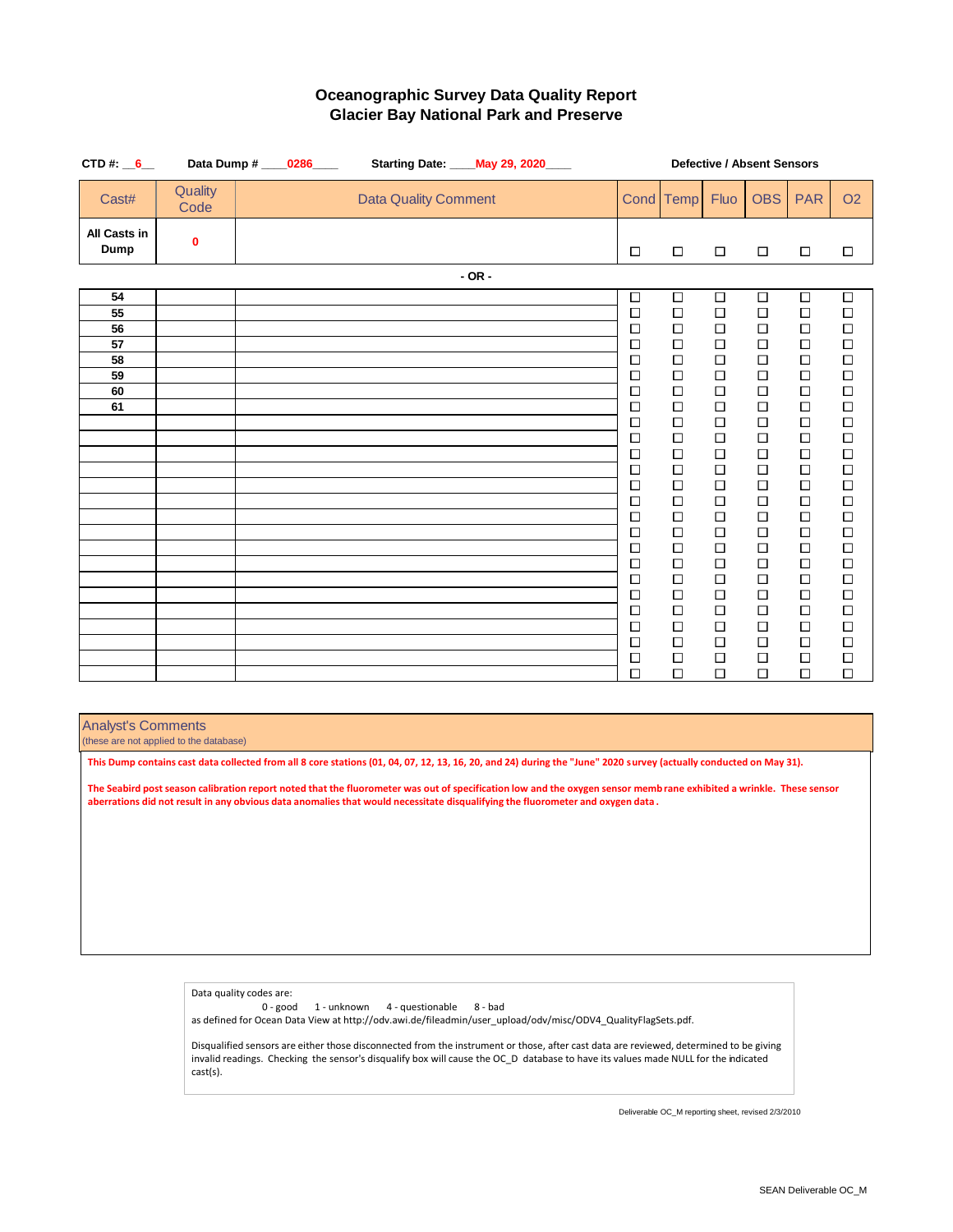| CTD#: $6$                                    |                 | Data Dump # ____0286____ |  |                             |            | Starting Date: ____ May 29, 2020____ |  |                                                                                                                                                                                            |                                                                                                                                                                                                           |                                                                                                                                                                                                                | <b>Defective / Absent Sensors</b>                                                                                                                                                                              |                                                                                                                                                                                                                |                                                                                                                                                                                                                |
|----------------------------------------------|-----------------|--------------------------|--|-----------------------------|------------|--------------------------------------|--|--------------------------------------------------------------------------------------------------------------------------------------------------------------------------------------------|-----------------------------------------------------------------------------------------------------------------------------------------------------------------------------------------------------------|----------------------------------------------------------------------------------------------------------------------------------------------------------------------------------------------------------------|----------------------------------------------------------------------------------------------------------------------------------------------------------------------------------------------------------------|----------------------------------------------------------------------------------------------------------------------------------------------------------------------------------------------------------------|----------------------------------------------------------------------------------------------------------------------------------------------------------------------------------------------------------------|
| Cast#                                        | Quality<br>Code |                          |  | <b>Data Quality Comment</b> |            |                                      |  |                                                                                                                                                                                            | Cond Temp                                                                                                                                                                                                 | Fluo                                                                                                                                                                                                           | <b>OBS</b>                                                                                                                                                                                                     | <b>PAR</b>                                                                                                                                                                                                     | <b>O2</b>                                                                                                                                                                                                      |
| All Casts in<br><b>Dump</b>                  | 0               |                          |  |                             |            |                                      |  | □                                                                                                                                                                                          | $\Box$                                                                                                                                                                                                    | $\Box$                                                                                                                                                                                                         | $\Box$                                                                                                                                                                                                         | $\Box$                                                                                                                                                                                                         | $\Box$                                                                                                                                                                                                         |
|                                              |                 |                          |  |                             | $-$ OR $-$ |                                      |  |                                                                                                                                                                                            |                                                                                                                                                                                                           |                                                                                                                                                                                                                |                                                                                                                                                                                                                |                                                                                                                                                                                                                |                                                                                                                                                                                                                |
| 54<br>55<br>56<br>57<br>58<br>59<br>60<br>61 |                 |                          |  |                             |            |                                      |  | □<br>$\Box$<br>$\Box$<br>□<br>$\Box$<br>□<br>$\Box$<br>$\Box$<br>$\Box$<br>$\Box$<br>$\Box$<br>$\Box$<br>$\Box$<br>$\Box$<br>□<br>$\Box$<br>$\Box$<br>$\Box$<br>$\Box$<br>$\Box$<br>$\Box$ | □<br>$\Box$<br>$\Box$<br>$\Box$<br>$\Box$<br>$\Box$<br>$\Box$<br>$\Box$<br>$\Box$<br>$\Box$<br>$\Box$<br>$\Box$<br>$\Box$<br>$\Box$<br>$\Box$<br>$\Box$<br>$\Box$<br>$\Box$<br>$\Box$<br>$\Box$<br>$\Box$ | $\Box$<br>$\Box$<br>$\Box$<br>$\Box$<br>$\Box$<br>$\Box$<br>$\Box$<br>$\Box$<br>$\Box$<br>$\Box$<br>$\Box$<br>$\Box$<br>$\Box$<br>$\Box$<br>$\Box$<br>$\Box$<br>$\Box$<br>$\Box$<br>$\Box$<br>$\Box$<br>$\Box$ | $\Box$<br>$\Box$<br>$\Box$<br>$\Box$<br>$\Box$<br>$\Box$<br>$\Box$<br>$\Box$<br>$\Box$<br>$\Box$<br>$\Box$<br>$\Box$<br>$\Box$<br>$\Box$<br>$\Box$<br>$\Box$<br>$\Box$<br>$\Box$<br>$\Box$<br>$\Box$<br>$\Box$ | $\Box$<br>$\Box$<br>$\Box$<br>$\Box$<br>$\Box$<br>$\Box$<br>$\Box$<br>$\Box$<br>$\Box$<br>$\Box$<br>$\Box$<br>$\Box$<br>$\Box$<br>$\Box$<br>$\Box$<br>$\Box$<br>$\Box$<br>$\Box$<br>$\Box$<br>$\Box$<br>$\Box$ | $\Box$<br>$\Box$<br>$\Box$<br>$\Box$<br>$\Box$<br>$\Box$<br>$\Box$<br>$\Box$<br>$\Box$<br>$\Box$<br>$\Box$<br>$\Box$<br>$\Box$<br>$\Box$<br>$\Box$<br>$\Box$<br>$\Box$<br>$\Box$<br>$\Box$<br>$\Box$<br>$\Box$ |
|                                              |                 |                          |  |                             |            |                                      |  | $\Box$                                                                                                                                                                                     | $\Box$                                                                                                                                                                                                    | □                                                                                                                                                                                                              | $\Box$                                                                                                                                                                                                         | $\Box$                                                                                                                                                                                                         | $\Box$                                                                                                                                                                                                         |
|                                              |                 |                          |  |                             |            |                                      |  | $\Box$<br>$\Box$<br>$\Box$                                                                                                                                                                 | $\Box$<br>$\Box$<br>$\Box$                                                                                                                                                                                | $\Box$<br>$\Box$<br>□                                                                                                                                                                                          | $\Box$<br>$\Box$<br>$\Box$                                                                                                                                                                                     | $\Box$<br>$\Box$<br>$\Box$                                                                                                                                                                                     | $\Box$<br>$\Box$<br>$\Box$                                                                                                                                                                                     |

Analyst's Comments

(these are not applied to the database)

**This Dump contains cast data collected from all 8 core stations (01, 04, 07, 12, 13, 16, 20, and 24) during the "June" 2020 survey (actually conducted on May 31).**

**The Seabird post season calibration report noted that the fluorometer was out of specification low and the oxygen sensor memb rane exhibited a wrinkle. These sensor aberrations did not result in any obvious data anomalies that would necessitate disqualifying the fluorometer and oxygen data .** 

> Data quality codes are: 0 - good 1 - unknown 4 - questionable 8 - bad as defined for Ocean Data View at http://odv.awi.de/fileadmin/user\_upload/odv/misc/ODV4\_QualityFlagSets.pdf. Disqualified sensors are either those disconnected from the instrument or those, after cast data are reviewed, determined to be giving invalid readings. Checking the sensor's disqualify box will cause the OC\_D database to have its values made NULL for the indicated cast(s).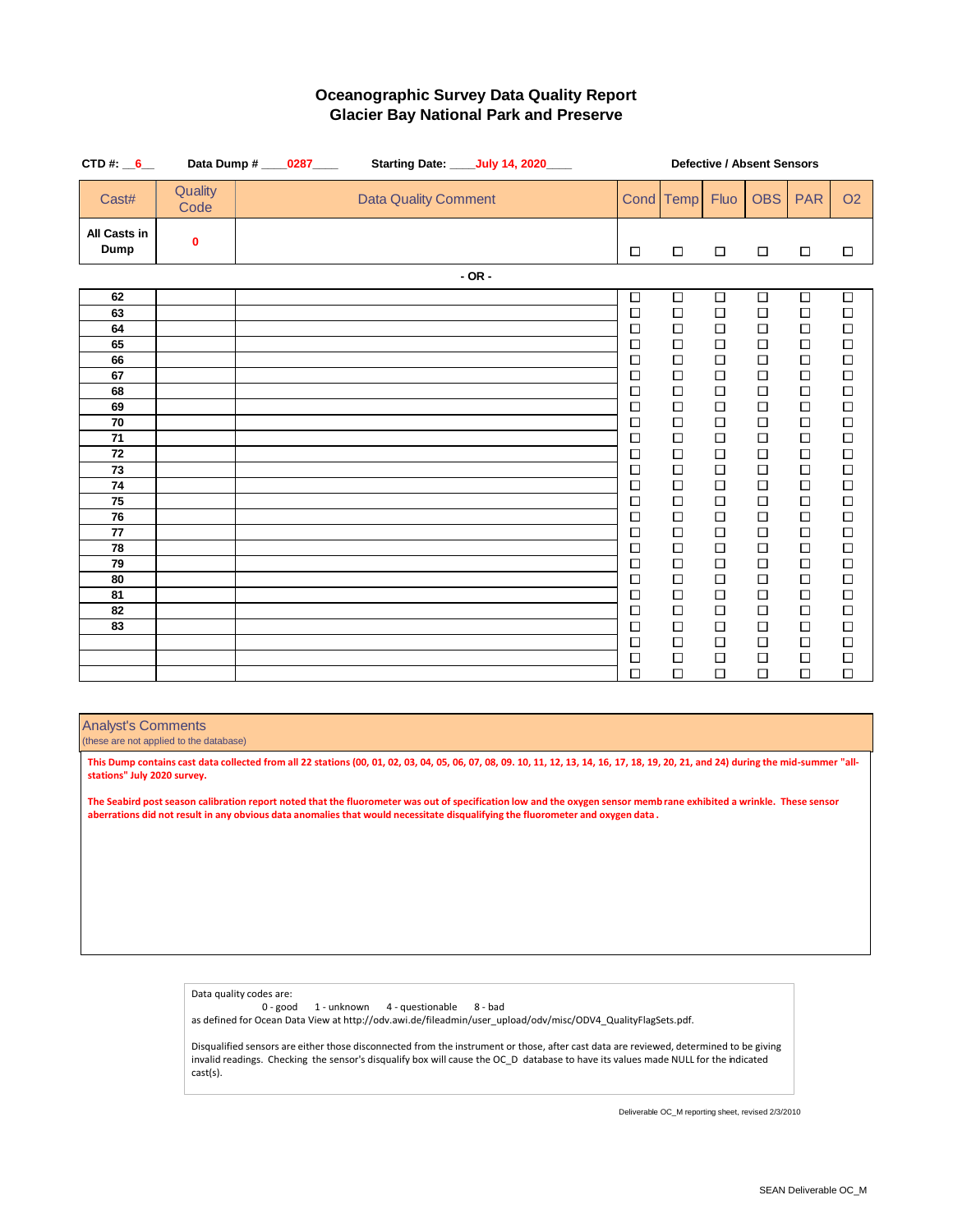| CTD#: $6$                                                                                    | Data Dump # _____0287_____ |  |  | Starting Date: ____July 14, 2020____ |            |  |  |                                                                                                                                               |                                                                                                                                                              | <b>Defective / Absent Sensors</b>                                                                                                                            |                                                                                                                                                    |                                                                                                                                               |                                                                                                                                                    |
|----------------------------------------------------------------------------------------------|----------------------------|--|--|--------------------------------------|------------|--|--|-----------------------------------------------------------------------------------------------------------------------------------------------|--------------------------------------------------------------------------------------------------------------------------------------------------------------|--------------------------------------------------------------------------------------------------------------------------------------------------------------|----------------------------------------------------------------------------------------------------------------------------------------------------|-----------------------------------------------------------------------------------------------------------------------------------------------|----------------------------------------------------------------------------------------------------------------------------------------------------|
| Cast#                                                                                        | Quality<br>Code            |  |  | <b>Data Quality Comment</b>          |            |  |  |                                                                                                                                               | Cond Temp                                                                                                                                                    | <b>Fluo</b>                                                                                                                                                  | <b>OBS</b>                                                                                                                                         | <b>PAR</b>                                                                                                                                    | <b>O2</b>                                                                                                                                          |
| All Casts in<br><b>Dump</b>                                                                  | 0                          |  |  |                                      |            |  |  | $\Box$                                                                                                                                        | $\Box$                                                                                                                                                       | $\Box$                                                                                                                                                       | $\Box$                                                                                                                                             | $\Box$                                                                                                                                        | $\Box$                                                                                                                                             |
|                                                                                              |                            |  |  |                                      | $-$ OR $-$ |  |  |                                                                                                                                               |                                                                                                                                                              |                                                                                                                                                              |                                                                                                                                                    |                                                                                                                                               |                                                                                                                                                    |
| 62<br>63<br>64<br>65<br>66<br>67<br>68<br>69<br>70<br>71<br>72<br>73<br>74<br>75<br>76<br>77 |                            |  |  |                                      |            |  |  | $\Box$<br>$\Box$<br>$\Box$<br>$\Box$<br>$\Box$<br>□<br>$\Box$<br>$\Box$<br>$\Box$<br>□<br>□<br>$\Box$<br>$\Box$<br>$\Box$<br>$\Box$<br>$\Box$ | $\Box$<br>$\Box$<br>$\Box$<br>$\Box$<br>$\Box$<br>$\Box$<br>$\Box$<br>$\Box$<br>$\Box$<br>$\Box$<br>$\Box$<br>$\Box$<br>$\Box$<br>$\Box$<br>$\Box$<br>$\Box$ | $\Box$<br>$\Box$<br>$\Box$<br>$\Box$<br>$\Box$<br>$\Box$<br>$\Box$<br>$\Box$<br>$\Box$<br>$\Box$<br>$\Box$<br>$\Box$<br>$\Box$<br>$\Box$<br>$\Box$<br>$\Box$ | $\Box$<br>$\Box$<br>$\Box$<br>Ω<br>$\Box$<br>□<br>$\Box$<br>$\Box$<br>$\Box$<br>$\Box$<br>$\Box$<br>$\Box$<br>$\Box$<br>$\Box$<br>$\Box$<br>$\Box$ | $\Box$<br>$\Box$<br>$\Box$<br>$\Box$<br>$\Box$<br>□<br>$\Box$<br>$\Box$<br>$\Box$<br>$\Box$<br>□<br>□<br>$\Box$<br>$\Box$<br>$\Box$<br>$\Box$ | $\Box$<br>$\Box$<br>$\Box$<br>$\Box$<br>$\Box$<br>$\Box$<br>$\Box$<br>□<br>$\Box$<br>$\Box$<br>$\Box$<br>$\Box$<br>$\Box$<br>$\Box$<br>□<br>$\Box$ |
| 78<br>79<br>80<br>81<br>82<br>83                                                             |                            |  |  |                                      |            |  |  | $\Box$<br>$\Box$<br>□<br>□<br>□<br>$\Box$                                                                                                     | $\Box$<br>$\Box$<br>$\Box$<br>$\Box$<br>$\Box$<br>$\Box$                                                                                                     | $\Box$<br>$\Box$<br>$\Box$<br>$\Box$<br>$\Box$<br>$\Box$                                                                                                     | $\Box$<br>$\Box$<br>$\Box$<br>$\Box$<br>$\Box$<br>$\Box$                                                                                           | $\Box$<br>$\Box$<br>$\Box$<br>□<br>□<br>$\Box$                                                                                                | □<br>$\Box$<br>$\Box$<br>$\Box$<br>$\Box$<br>$\Box$                                                                                                |
|                                                                                              |                            |  |  |                                      |            |  |  | $\Box$<br>$\Box$<br>$\Box$                                                                                                                    | $\Box$<br>$\Box$<br>$\Box$                                                                                                                                   | $\Box$<br>$\Box$<br>$\Box$                                                                                                                                   | $\Box$<br>$\Box$<br>□                                                                                                                              | $\Box$<br>$\Box$<br>$\Box$                                                                                                                    | $\Box$<br>□<br>$\Box$                                                                                                                              |

Analyst's Comments

(these are not applied to the database)

**This Dump contains cast data collected from all 22 stations (00, 01, 02, 03, 04, 05, 06, 07, 08, 09. 10, 11, 12, 13, 14, 16, 17, 18, 19, 20, 21, and 24) during the mid-summer "allstations" July 2020 survey.**

**The Seabird post season calibration report noted that the fluorometer was out of specification low and the oxygen sensor memb rane exhibited a wrinkle. These sensor aberrations did not result in any obvious data anomalies that would necessitate disqualifying the fluorometer and oxygen data .** 

Data quality codes are:

0 - good 1 - unknown 4 - questionable 8 - bad as defined for Ocean Data View at http://odv.awi.de/fileadmin/user\_upload/odv/misc/ODV4\_QualityFlagSets.pdf.

Disqualified sensors are either those disconnected from the instrument or those, after cast data are reviewed, determined to be giving invalid readings. Checking the sensor's disqualify box will cause the OC\_D database to have its values made NULL for the indicated cast(s).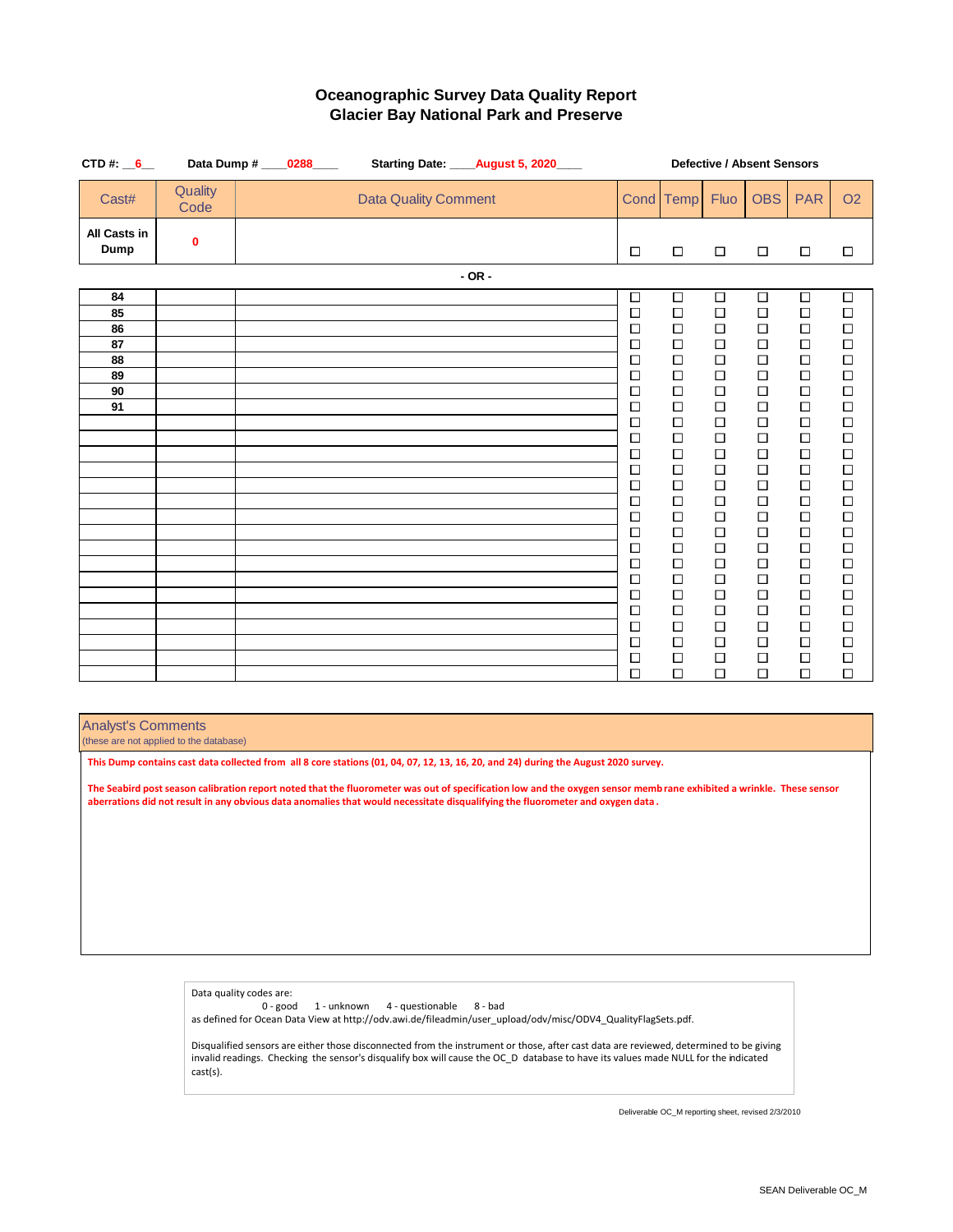| CTD#: $6$                                    |                 | Data Dump # _____0288_____ | Starting Date: _____ August 5, 2020____ |            |  |                                                                                                                                                                                                                               |                                                                                                                                                                                                                                    | Defective / Absent Sensors                                                                                                                                                                                               |                                                                                                                                                                                                                                    |                                                                                                                                                                                                                               |                                                                                                                                                                                                                                    |
|----------------------------------------------|-----------------|----------------------------|-----------------------------------------|------------|--|-------------------------------------------------------------------------------------------------------------------------------------------------------------------------------------------------------------------------------|------------------------------------------------------------------------------------------------------------------------------------------------------------------------------------------------------------------------------------|--------------------------------------------------------------------------------------------------------------------------------------------------------------------------------------------------------------------------|------------------------------------------------------------------------------------------------------------------------------------------------------------------------------------------------------------------------------------|-------------------------------------------------------------------------------------------------------------------------------------------------------------------------------------------------------------------------------|------------------------------------------------------------------------------------------------------------------------------------------------------------------------------------------------------------------------------------|
| Cast#                                        | Quality<br>Code |                            | <b>Data Quality Comment</b>             |            |  |                                                                                                                                                                                                                               | Cond Temp                                                                                                                                                                                                                          | Fluo                                                                                                                                                                                                                     | <b>OBS</b>                                                                                                                                                                                                                         | <b>PAR</b>                                                                                                                                                                                                                    | <b>O2</b>                                                                                                                                                                                                                          |
| All Casts in<br>Dump                         | 0               |                            |                                         |            |  | $\Box$                                                                                                                                                                                                                        | $\Box$                                                                                                                                                                                                                             | $\Box$                                                                                                                                                                                                                   | $\Box$                                                                                                                                                                                                                             | $\Box$                                                                                                                                                                                                                        | $\Box$                                                                                                                                                                                                                             |
|                                              |                 |                            |                                         | $-$ OR $-$ |  |                                                                                                                                                                                                                               |                                                                                                                                                                                                                                    |                                                                                                                                                                                                                          |                                                                                                                                                                                                                                    |                                                                                                                                                                                                                               |                                                                                                                                                                                                                                    |
| 84<br>85<br>86<br>87<br>88<br>89<br>90<br>91 |                 |                            |                                         |            |  | $\Box$<br>$\Box$<br>$\Box$<br>$\Box$<br>$\Box$<br>$\Box$<br>$\Box$<br>$\Box$<br>$\Box$<br>$\Box$<br>$\Box$<br>$\Box$<br>$\Box$<br>$\Box$<br>□<br>$\Box$<br>$\Box$<br>$\Box$<br>$\Box$<br>$\Box$<br>$\Box$<br>$\Box$<br>$\Box$ | $\Box$<br>$\Box$<br>$\Box$<br>$\Box$<br>$\Box$<br>$\Box$<br>$\Box$<br>$\Box$<br>$\Box$<br>$\Box$<br>$\Box$<br>$\Box$<br>$\Box$<br>$\Box$<br>$\Box$<br>$\Box$<br>$\Box$<br>$\Box$<br>$\Box$<br>$\Box$<br>$\Box$<br>$\Box$<br>$\Box$ | $\Box$<br>$\Box$<br>$\Box$<br>$\Box$<br>$\Box$<br>$\Box$<br>$\Box$<br>□<br>$\Box$<br>$\Box$<br>$\Box$<br>$\Box$<br>$\Box$<br>$\Box$<br>$\Box$<br>$\Box$<br>$\Box$<br>$\Box$<br>$\Box$<br>$\Box$<br>$\Box$<br>□<br>$\Box$ | $\Box$<br>$\Box$<br>$\Box$<br>$\Box$<br>$\Box$<br>$\Box$<br>$\Box$<br>$\Box$<br>$\Box$<br>$\Box$<br>$\Box$<br>$\Box$<br>$\Box$<br>$\Box$<br>$\Box$<br>$\Box$<br>$\Box$<br>$\Box$<br>$\Box$<br>$\Box$<br>$\Box$<br>$\Box$<br>$\Box$ | $\Box$<br>$\Box$<br>$\Box$<br>$\Box$<br>$\Box$<br>$\Box$<br>$\Box$<br>$\Box$<br>$\Box$<br>$\Box$<br>$\Box$<br>$\Box$<br>$\Box$<br>$\Box$<br>$\Box$<br>$\Box$<br>$\Box$<br>$\Box$<br>$\Box$<br>$\Box$<br>□<br>$\Box$<br>$\Box$ | $\Box$<br>$\Box$<br>$\Box$<br>$\Box$<br>$\Box$<br>$\Box$<br>$\Box$<br>$\Box$<br>$\Box$<br>$\Box$<br>$\Box$<br>$\Box$<br>$\Box$<br>$\Box$<br>$\Box$<br>$\Box$<br>$\Box$<br>$\Box$<br>$\Box$<br>$\Box$<br>$\Box$<br>$\Box$<br>$\Box$ |
|                                              |                 |                            |                                         |            |  | $\Box$<br>$\Box$                                                                                                                                                                                                              | $\Box$<br>$\Box$                                                                                                                                                                                                                   | $\Box$<br>□                                                                                                                                                                                                              | $\Box$<br>$\Box$                                                                                                                                                                                                                   | $\Box$<br>$\Box$                                                                                                                                                                                                              | $\Box$<br>$\Box$                                                                                                                                                                                                                   |

Analyst's Comments

(these are not applied to the database)

**This Dump contains cast data collected from all 8 core stations (01, 04, 07, 12, 13, 16, 20, and 24) during the August 2020 survey.** 

**The Seabird post season calibration report noted that the fluorometer was out of specification low and the oxygen sensor memb rane exhibited a wrinkle. These sensor aberrations did not result in any obvious data anomalies that would necessitate disqualifying the fluorometer and oxygen data .** 

> Data quality codes are: 0 - good 1 - unknown 4 - questionable 8 - bad as defined for Ocean Data View at http://odv.awi.de/fileadmin/user\_upload/odv/misc/ODV4\_QualityFlagSets.pdf. Disqualified sensors are either those disconnected from the instrument or those, after cast data are reviewed, determined to be giving invalid readings. Checking the sensor's disqualify box will cause the OC\_D database to have its values made NULL for the indicated cast(s).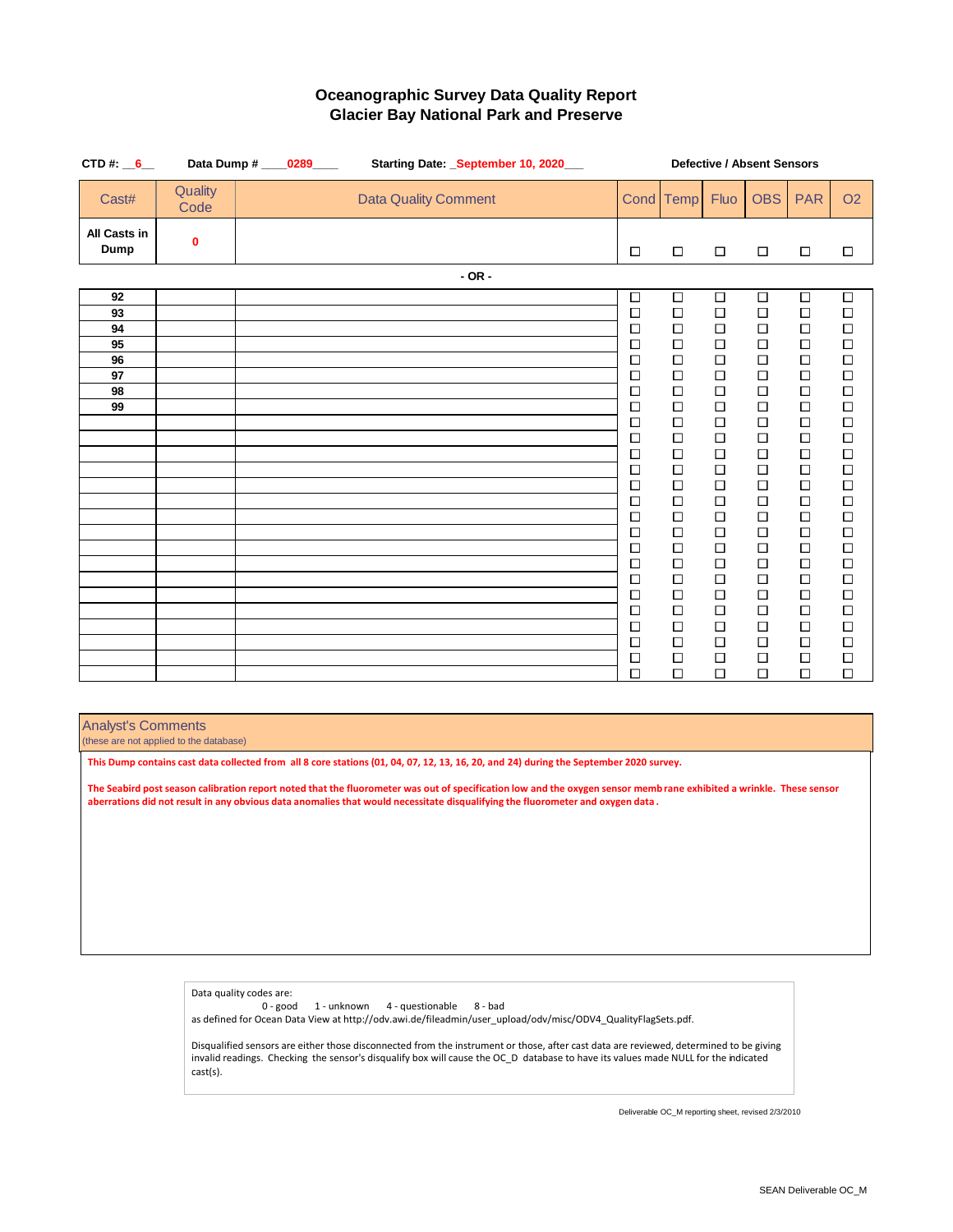| CTD#: $6$                                    |                 | Data Dump # ____0289____ |  |                             |            | Starting Date: _September 10, 2020___ |  |                                                                                                                                                                                                 |                                                                                                                                                                                                      |                                                                                                                                                                                                 | Defective / Absent Sensors                                                                                                                                                                           |                                                                                                                                                                                                      |                                                                                                                                                                                                      |
|----------------------------------------------|-----------------|--------------------------|--|-----------------------------|------------|---------------------------------------|--|-------------------------------------------------------------------------------------------------------------------------------------------------------------------------------------------------|------------------------------------------------------------------------------------------------------------------------------------------------------------------------------------------------------|-------------------------------------------------------------------------------------------------------------------------------------------------------------------------------------------------|------------------------------------------------------------------------------------------------------------------------------------------------------------------------------------------------------|------------------------------------------------------------------------------------------------------------------------------------------------------------------------------------------------------|------------------------------------------------------------------------------------------------------------------------------------------------------------------------------------------------------|
| Cast#                                        | Quality<br>Code |                          |  | <b>Data Quality Comment</b> |            |                                       |  | Cond Temp                                                                                                                                                                                       |                                                                                                                                                                                                      | Fluo                                                                                                                                                                                            | <b>OBS</b>                                                                                                                                                                                           | <b>PAR</b>                                                                                                                                                                                           | <b>O2</b>                                                                                                                                                                                            |
| All Casts in<br>Dump                         | 0               |                          |  |                             |            |                                       |  | □                                                                                                                                                                                               | $\Box$                                                                                                                                                                                               | $\Box$                                                                                                                                                                                          | $\Box$                                                                                                                                                                                               | $\Box$                                                                                                                                                                                               | $\Box$                                                                                                                                                                                               |
|                                              |                 |                          |  |                             | $-$ OR $-$ |                                       |  |                                                                                                                                                                                                 |                                                                                                                                                                                                      |                                                                                                                                                                                                 |                                                                                                                                                                                                      |                                                                                                                                                                                                      |                                                                                                                                                                                                      |
| 92<br>93<br>94<br>95<br>96<br>97<br>98<br>99 |                 |                          |  |                             |            |                                       |  | $\Box$<br>$\Box$<br>$\Box$<br>$\Box$<br>$\Box$<br>□<br>$\Box$<br>$\Box$<br>$\Box$<br>$\Box$<br>$\Box$<br>$\Box$<br>$\Box$<br>$\Box$<br>$\Box$<br>$\Box$<br>$\Box$<br>$\Box$<br>$\Box$<br>$\Box$ | $\Box$<br>$\Box$<br>$\Box$<br>$\Box$<br>$\Box$<br>$\Box$<br>$\Box$<br>$\Box$<br>$\Box$<br>$\Box$<br>$\Box$<br>$\Box$<br>$\Box$<br>$\Box$<br>$\Box$<br>$\Box$<br>$\Box$<br>$\Box$<br>$\Box$<br>$\Box$ | $\Box$<br>$\Box$<br>$\Box$<br>$\Box$<br>$\Box$<br>$\Box$<br>$\Box$<br>$\Box$<br>$\Box$<br>$\Box$<br>$\Box$<br>$\Box$<br>$\Box$<br>$\Box$<br>$\Box$<br>$\Box$<br>$\Box$<br>□<br>$\Box$<br>$\Box$ | $\Box$<br>$\Box$<br>$\Box$<br>$\Box$<br>$\Box$<br>$\Box$<br>$\Box$<br>$\Box$<br>$\Box$<br>$\Box$<br>$\Box$<br>$\Box$<br>$\Box$<br>$\Box$<br>$\Box$<br>$\Box$<br>$\Box$<br>$\Box$<br>$\Box$<br>$\Box$ | $\Box$<br>$\Box$<br>$\Box$<br>$\Box$<br>$\Box$<br>$\Box$<br>$\Box$<br>$\Box$<br>$\Box$<br>$\Box$<br>$\Box$<br>$\Box$<br>$\Box$<br>$\Box$<br>$\Box$<br>$\Box$<br>$\Box$<br>$\Box$<br>$\Box$<br>$\Box$ | $\Box$<br>$\Box$<br>$\Box$<br>$\Box$<br>$\Box$<br>$\Box$<br>$\Box$<br>$\Box$<br>$\Box$<br>$\Box$<br>$\Box$<br>$\Box$<br>$\Box$<br>$\Box$<br>$\Box$<br>$\Box$<br>$\Box$<br>$\Box$<br>$\Box$<br>$\Box$ |
|                                              |                 |                          |  |                             |            |                                       |  | $\Box$<br>$\Box$                                                                                                                                                                                | $\Box$<br>$\Box$                                                                                                                                                                                     | $\Box$<br>$\Box$                                                                                                                                                                                | $\Box$<br>$\Box$                                                                                                                                                                                     | $\Box$<br>$\Box$                                                                                                                                                                                     | $\Box$<br>$\Box$                                                                                                                                                                                     |
|                                              |                 |                          |  |                             |            |                                       |  | $\Box$<br>$\Box$<br>$\Box$                                                                                                                                                                      | $\Box$<br>$\Box$<br>$\Box$                                                                                                                                                                           | $\Box$<br>$\Box$<br>$\Box$                                                                                                                                                                      | $\Box$<br>$\Box$<br>$\Box$                                                                                                                                                                           | $\Box$<br>$\Box$<br>$\Box$                                                                                                                                                                           | $\Box$<br>$\Box$<br>$\Box$                                                                                                                                                                           |

Analyst's Comments

(these are not applied to the database)

**This Dump contains cast data collected from all 8 core stations (01, 04, 07, 12, 13, 16, 20, and 24) during the September 2020 survey.**

**The Seabird post season calibration report noted that the fluorometer was out of specification low and the oxygen sensor memb rane exhibited a wrinkle. These sensor aberrations did not result in any obvious data anomalies that would necessitate disqualifying the fluorometer and oxygen data .** 

> Data quality codes are: 0 - good 1 - unknown 4 - questionable 8 - bad as defined for Ocean Data View at http://odv.awi.de/fileadmin/user\_upload/odv/misc/ODV4\_QualityFlagSets.pdf. Disqualified sensors are either those disconnected from the instrument or those, after cast data are reviewed, determined to be giving invalid readings. Checking the sensor's disqualify box will cause the OC\_D database to have its values made NULL for the indicated cast(s).